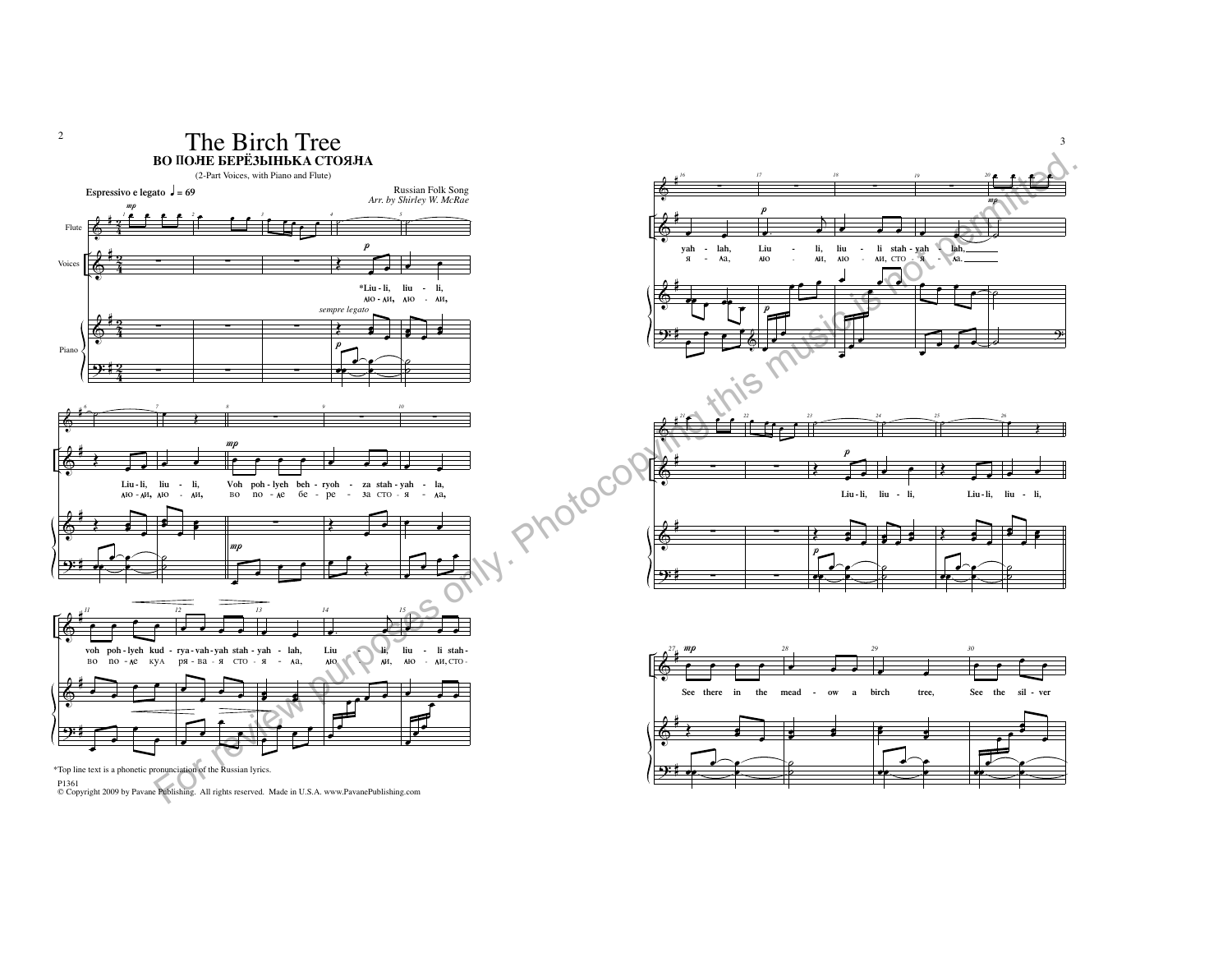



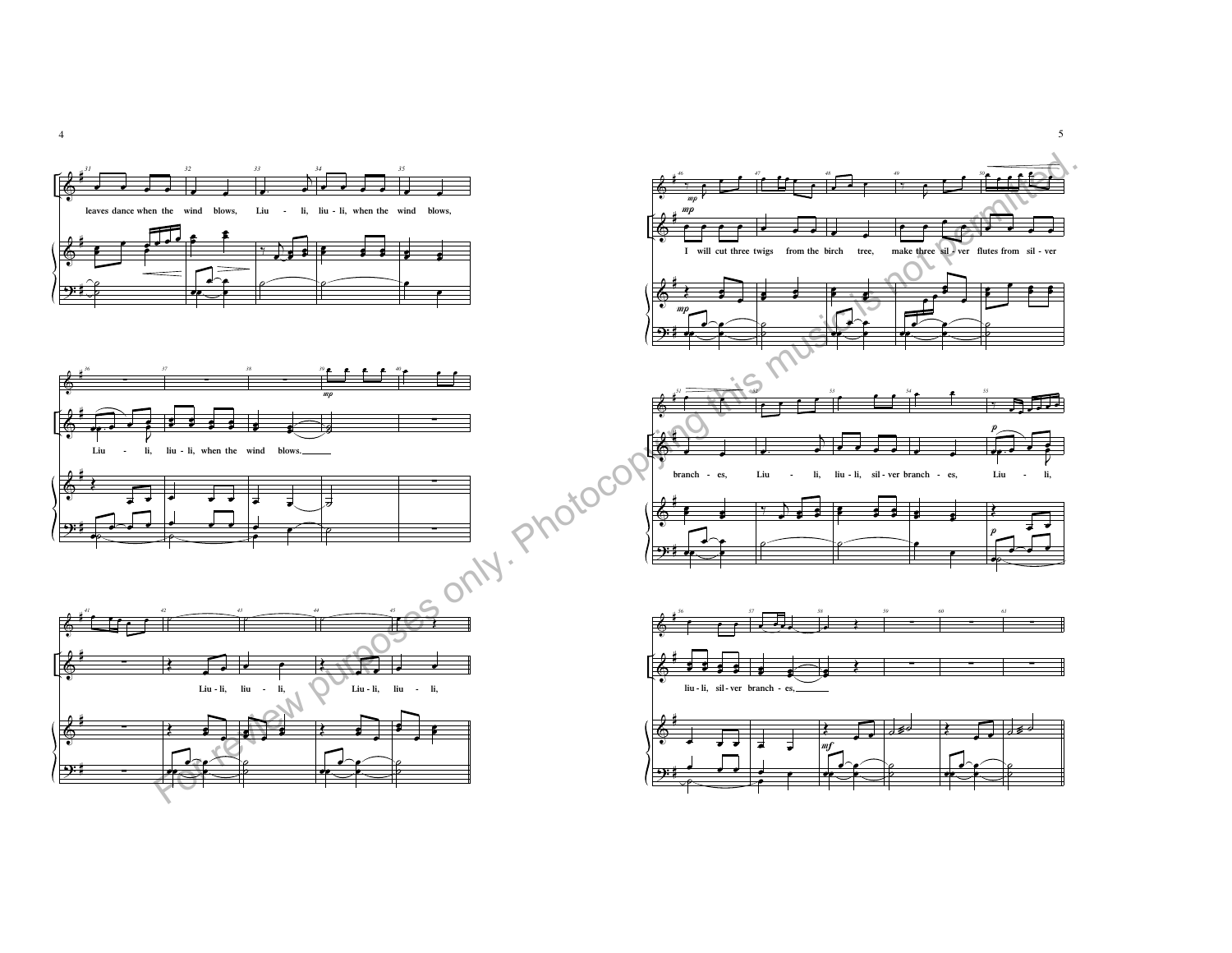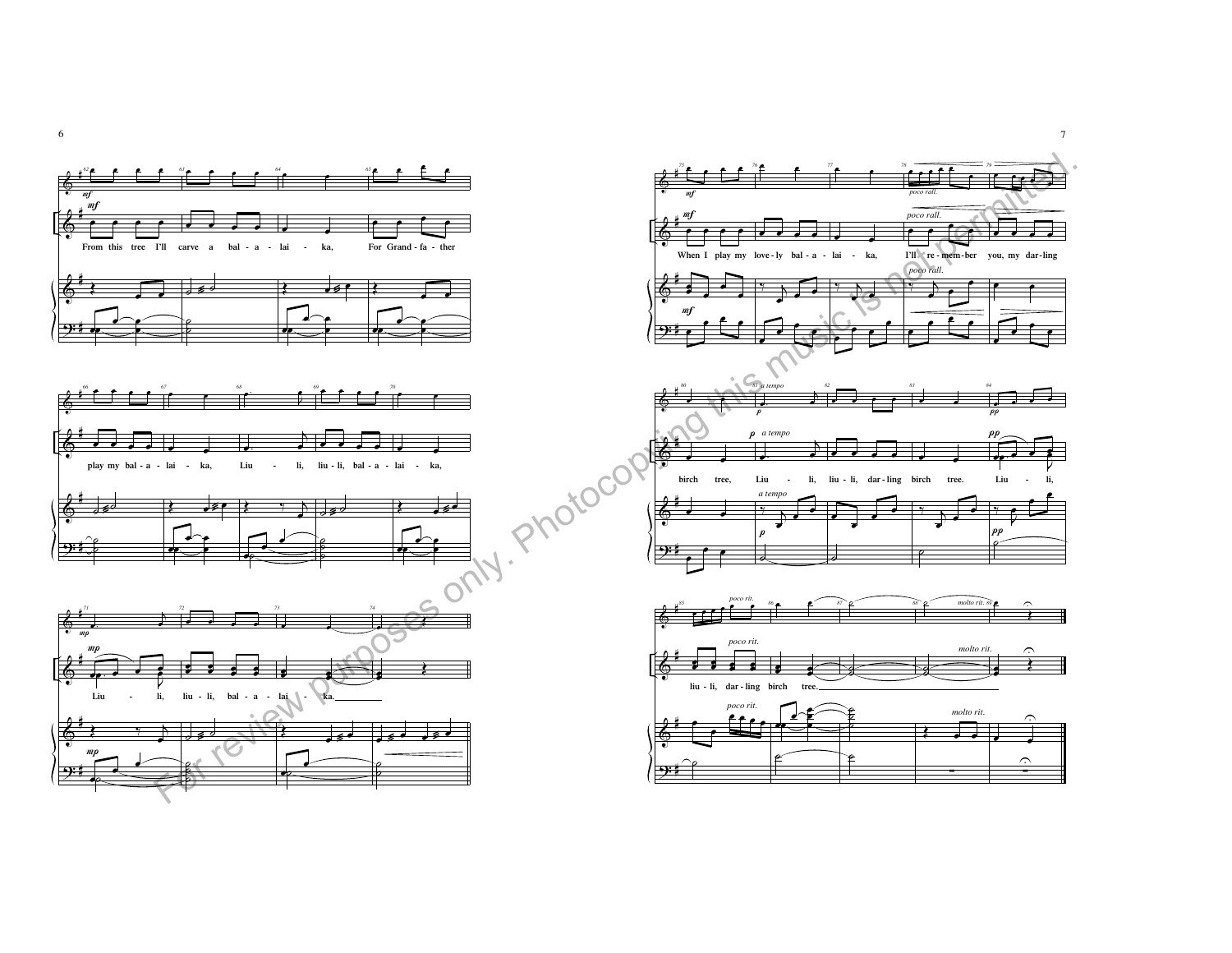